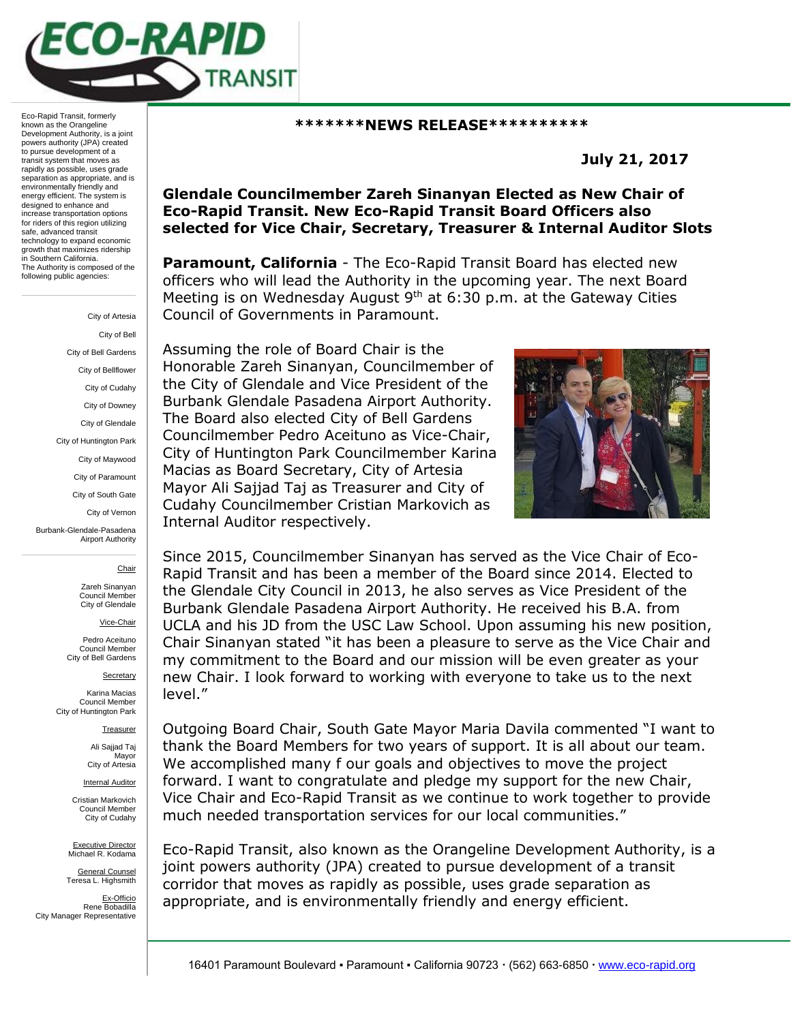

Eco-Rapid Transit, formerly known as the Orangeline Development Authority, is a joint powers authority (JPA) created to pursue development of a transit system that moves as rapidly as possible, uses grade separation as appropriate, and is environmentally friendly and energy efficient. The system is designed to enhance and increase transportation options for riders of this region utilizing safe, advanced transit technology to expand economic growth that maximizes ridership in Southern California. The Authority is composed of the following public agencies:

> City of Artesia City of Bell City of Bell Gardens City of Bellflower City of Cudahy City of Downey City of Glendale City of Huntington Park City of Maywood City of Paramount City of South Gate City of Vernon Burbank-Glendale-Pasadena Airport Authority Chair Zareh Sinanyan Council Member City of Glendale

> > Vice-Chair

Pedro Aceituno Council Member City of Bell Gardens

**Secretary** Karina Macias

Council Member City of Huntington Park

Treasurer

Ali Sajjad Taj **Mayor** City of Artesia

Internal Auditor

Cristian Markovich Council Member City of Cudahy

Executive Director Michael R. Kodama

General Counsel Teresa L. Highsmith

Ex-Officio Rene Bobadilla City Manager Representative

## **\*\*\*\*\*\*\*NEWS RELEASE\*\*\*\*\*\*\*\*\*\***

**July 21, 2017**

## **Glendale Councilmember Zareh Sinanyan Elected as New Chair of Eco-Rapid Transit. New Eco-Rapid Transit Board Officers also selected for Vice Chair, Secretary, Treasurer & Internal Auditor Slots**

**Paramount, California** - The Eco-Rapid Transit Board has elected new officers who will lead the Authority in the upcoming year. The next Board Meeting is on Wednesday August  $9<sup>th</sup>$  at 6:30 p.m. at the Gateway Cities Council of Governments in Paramount.

Assuming the role of Board Chair is the Honorable Zareh Sinanyan, Councilmember of the City of Glendale and Vice President of the Burbank Glendale Pasadena Airport Authority. The Board also elected City of Bell Gardens Councilmember Pedro Aceituno as Vice-Chair, City of Huntington Park Councilmember Karina Macias as Board Secretary, City of Artesia Mayor Ali Sajjad Taj as Treasurer and City of Cudahy Councilmember Cristian Markovich as Internal Auditor respectively.



Since 2015, Councilmember Sinanyan has served as the Vice Chair of Eco-Rapid Transit and has been a member of the Board since 2014. Elected to the Glendale City Council in 2013, he also serves as Vice President of the Burbank Glendale Pasadena Airport Authority. He received his B.A. from UCLA and his JD from the USC Law School. Upon assuming his new position, Chair Sinanyan stated "it has been a pleasure to serve as the Vice Chair and my commitment to the Board and our mission will be even greater as your new Chair. I look forward to working with everyone to take us to the next level."

Outgoing Board Chair, South Gate Mayor Maria Davila commented "I want to thank the Board Members for two years of support. It is all about our team. We accomplished many f our goals and objectives to move the project forward. I want to congratulate and pledge my support for the new Chair, Vice Chair and Eco-Rapid Transit as we continue to work together to provide much needed transportation services for our local communities."

Eco-Rapid Transit, also known as the Orangeline Development Authority, is a joint powers authority (JPA) created to pursue development of a transit corridor that moves as rapidly as possible, uses grade separation as appropriate, and is environmentally friendly and energy efficient.